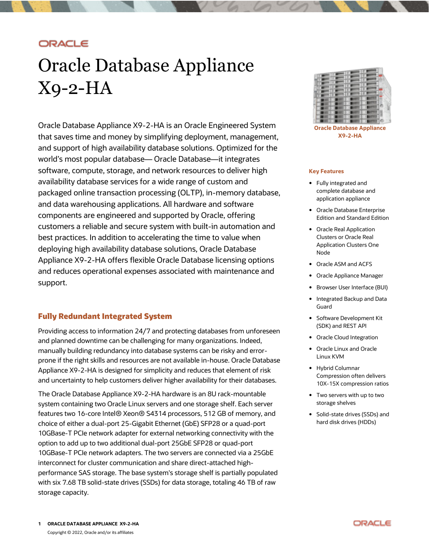# ORACLE

# Oracle Database Appliance X9-2-HA

Oracle Database Appliance X9-2-HA is an Oracle Engineered System that saves time and money by simplifying deployment, management, and support of high availability database solutions. Optimized for the world's most popular database— Oracle Database—it integrates software, compute, storage, and network resources to deliver high availability database services for a wide range of custom and packaged online transaction processing (OLTP), in-memory database, and data warehousing applications. All hardware and software components are engineered and supported by Oracle, offering customers a reliable and secure system with built-in automation and best practices. In addition to accelerating the time to value when deploying high availability database solutions, Oracle Database Appliance X9-2-HA offers flexible Oracle Database licensing options and reduces operational expenses associated with maintenance and support.

## **Fully Redundant Integrated System**

Providing access to information 24/7 and protecting databases from unforeseen and planned downtime can be challenging for many organizations. Indeed, manually building redundancy into database systems can be risky and errorprone if the right skills and resources are not available in-house. Oracle Database Appliance X9-2-HA is designed for simplicity and reduces that element of risk and uncertainty to help customers deliver higher availability for their databases.

The Oracle Database Appliance X9-2-HA hardware is an 8U rack-mountable system containing two Oracle Linux servers and one storage shelf. Each server features two 16-core Intel® Xeon® S4314 processors, 512 GB of memory, and choice of either a dual-port 25-Gigabit Ethernet (GbE) SFP28 or a quad-port 10GBase-T PCIe network adapter for external networking connectivity with the option to add up to two additional dual-port 25GbE SFP28 or quad-port 10GBase-T PCIe network adapters. The two servers are connected via a 25GbE interconnect for cluster communication and share direct-attached highperformance SAS storage. The base system's storage shelf is partially populated with six 7.68 TB solid-state drives (SSDs) for data storage, totaling 46 TB of raw storage capacity.



**Oracle Database Appliance X9-2-HA**

#### **Key Features**

- Fully integrated and complete database and application appliance
- Oracle Database Enterprise Edition and Standard Edition
- Oracle Real Application Clusters or Oracle Real Application Clusters One Node
- Oracle ASM and ACFS
- Oracle Appliance Manager
- **•** Browser User Interface (BUI)
- Integrated Backup and Data Guard
- Software Development Kit (SDK) and REST API
- Oracle Cloud Integration
- Oracle Linux and Oracle Linux KVM
- Hybrid Columnar Compression often delivers 10X-15X compression ratios
- Two servers with up to two storage shelves
- Solid-state drives (SSDs) and hard disk drives (HDDs)

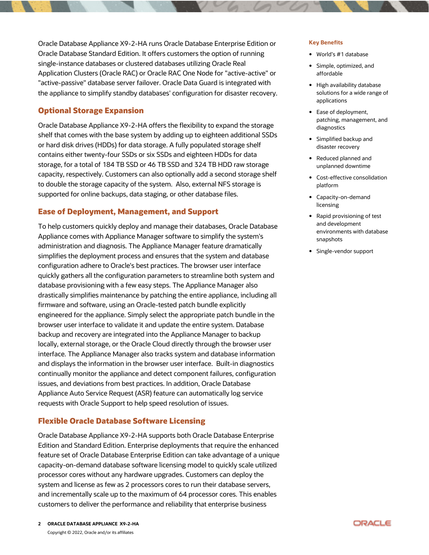Oracle Database Appliance X9-2-HA runs Oracle Database Enterprise Edition or Oracle Database Standard Edition. It offers customers the option of running single-instance databases or clustered databases utilizing Oracle Real Application Clusters (Oracle RAC) or Oracle RAC One Node for "active-active" or "active-passive" database server failover. Oracle Data Guard is integrated with the appliance to simplify standby databases' configuration for disaster recovery.

## **Optional Storage Expansion**

Oracle Database Appliance X9-2-HA offers the flexibility to expand the storage shelf that comes with the base system by adding up to eighteen additional SSDs or hard disk drives (HDDs) for data storage. A fully populated storage shelf contains either twenty-four SSDs or six SSDs and eighteen HDDs for data storage, for a total of 184 TB SSD or 46 TB SSD and 324 TB HDD raw storage capacity, respectively. Customers can also optionally add a second storage shelf to double the storage capacity of the system. Also, external NFS storage is supported for online backups, data staging, or other database files.

## **Ease of Deployment, Management, and Support**

To help customers quickly deploy and manage their databases, Oracle Database Appliance comes with Appliance Manager software to simplify the system's administration and diagnosis. The Appliance Manager feature dramatically simplifies the deployment process and ensures that the system and database configuration adhere to Oracle's best practices. The browser user interface quickly gathers all the configuration parameters to streamline both system and database provisioning with a few easy steps. The Appliance Manager also drastically simplifies maintenance by patching the entire appliance, including all firmware and software, using an Oracle-tested patch bundle explicitly engineered for the appliance. Simply select the appropriate patch bundle in the browser user interface to validate it and update the entire system. Database backup and recovery are integrated into the Appliance Manager to backup locally, external storage, or the Oracle Cloud directly through the browser user interface. The Appliance Manager also tracks system and database information and displays the information in the browser user interface. Built-in diagnostics continually monitor the appliance and detect component failures, configuration issues, and deviations from best practices. In addition, Oracle Database Appliance Auto Service Request (ASR) feature can automatically log service requests with Oracle Support to help speed resolution of issues.

## **Flexible Oracle Database Software Licensing**

Oracle Database Appliance X9-2-HA supports both Oracle Database Enterprise Edition and Standard Edition. Enterprise deployments that require the enhanced feature set of Oracle Database Enterprise Edition can take advantage of a unique capacity-on-demand database software licensing model to quickly scale utilized processor cores without any hardware upgrades. Customers can deploy the system and license as few as 2 processors cores to run their database servers, and incrementally scale up to the maximum of 64 processor cores. This enables customers to deliver the performance and reliability that enterprise business

- World's #1 database
- Simple, optimized, and affordable
- High availability database solutions for a wide range of applications
- Ease of deployment, patching, management, and diagnostics
- Simplified backup and disaster recovery
- Reduced planned and unplanned downtime
- Cost-effective consolidation platform
- Capacity-on-demand licensing
- Rapid provisioning of test and development environments with database snapshots
- Single-vendor support

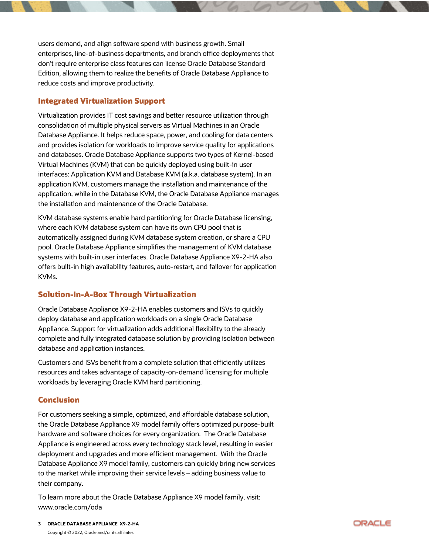users demand, and align software spend with business growth. Small enterprises, line-of-business departments, and branch office deployments that don't require enterprise class features can license Oracle Database Standard Edition, allowing them to realize the benefits of Oracle Database Appliance to reduce costs and improve productivity.

## **Integrated Virtualization Support**

Virtualization provides IT cost savings and better resource utilization through consolidation of multiple physical servers as Virtual Machines in an Oracle Database Appliance. It helps reduce space, power, and cooling for data centers and provides isolation for workloads to improve service quality for applications and databases. Oracle Database Appliance supports two types of Kernel-based Virtual Machines (KVM) that can be quickly deployed using built-in user interfaces: Application KVM and Database KVM (a.k.a. database system). In an application KVM, customers manage the installation and maintenance of the application, while in the Database KVM, the Oracle Database Appliance manages the installation and maintenance of the Oracle Database.

KVM database systems enable hard partitioning for Oracle Database licensing, where each KVM database system can have its own CPU pool that is automatically assigned during KVM database system creation, or share a CPU pool. Oracle Database Appliance simplifies the management of KVM database systems with built-in user interfaces. Oracle Database Appliance X9-2-HA also offers built-in high availability features, auto-restart, and failover for application KVMs.

# **Solution-In-A-Box Through Virtualization**

Oracle Database Appliance X9-2-HA enables customers and ISVs to quickly deploy database and application workloads on a single Oracle Database Appliance. Support for virtualization adds additional flexibility to the already complete and fully integrated database solution by providing isolation between database and application instances.

Customers and ISVs benefit from a complete solution that efficiently utilizes resources and takes advantage of capacity-on-demand licensing for multiple workloads by leveraging Oracle KVM hard partitioning.

# **Conclusion**

For customers seeking a simple, optimized, and affordable database solution, the Oracle Database Appliance X9 model family offers optimized purpose-built hardware and software choices for every organization. The Oracle Database Appliance is engineered across every technology stack level, resulting in easier deployment and upgrades and more efficient management. With the Oracle Database Appliance X9 model family, customers can quickly bring new services to the market while improving their service levels – adding business value to their company.

To learn more about the Oracle Database Appliance X9 model family, visit: www.oracle.com/oda

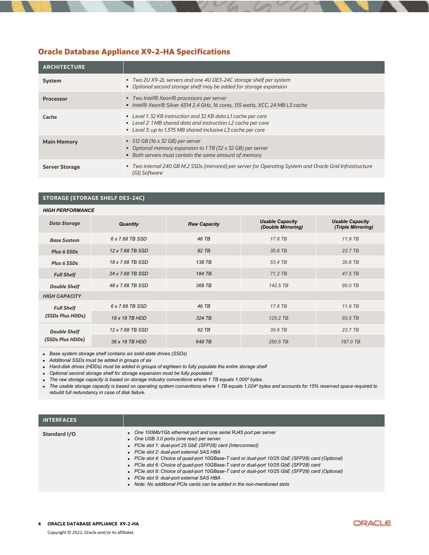# **Oracle Database Appliance X9-2-HA Specifications**

| <b>ARCHITECTURE</b>   |                                                                                                                                                                                                |
|-----------------------|------------------------------------------------------------------------------------------------------------------------------------------------------------------------------------------------|
| <b>System</b>         | ■ Two 2U X9-2L servers and one 4U DE3-24C storage shelf per system<br>• Optional second storage shelf may be added for storage expansion                                                       |
| <b>Processor</b>      | ■ Two Intel® Xeon® processors per server<br>■ Intel® Xeon® Silver 4314 2.4 GHz, 16 cores, 135 watts, XCC, 24 MB L3 cache                                                                       |
| Cache                 | • Level 1: 32 KB instruction and 32 KB data L1 cache per core<br>• Level 2: 1 MB shared data and instruction L2 cache per core<br>• Level 3: up to 1.375 MB shared inclusive L3 cache per core |
| <b>Main Memory</b>    | $\bullet$ 512 GB (16 x 32 GB) per server<br>• Optional memory expansion to 1 TB (32 x 32 GB) per server<br>• Both servers must contain the same amount of memory                               |
| <b>Server Storage</b> | • Two internal 240 GB M.2 SSDs (mirrored) per server for Operating System and Oracle Grid Infrastructure<br>(GI) Software                                                                      |

#### **STORAGE (STORAGE SHELF DE3-24C)**

| <b>HIGH PERFORMANCE</b> |                  |                     |                                              |                                              |
|-------------------------|------------------|---------------------|----------------------------------------------|----------------------------------------------|
| <b>Data Storage</b>     | <b>Quantity</b>  | <b>Raw Capacity</b> | <b>Usable Capacity</b><br>(Double Mirroring) | <b>Usable Capacity</b><br>(Triple Mirroring) |
| <b>Base System</b>      | 6 x 7.68 TB SSD  | 46 TB               | 17.8 TB                                      | 11.9 TB                                      |
| Plus 6 SSDs             | 12 x 7.68 TB SSD | 92 TB               | 35.6 TB                                      | 23.7 TB                                      |
| Plus 6 SSDs             | 18 x 7.68 TB SSD | 138 TB              | 53.4 TB                                      | 35.6 TB                                      |
| <b>Full Shelf</b>       | 24 x 7.68 TB SSD | 184 TB              | 71.2 TB                                      | 47.5 TB                                      |
| <b>Double Shelf</b>     | 48 x 7.68 TB SSD | 368 TB              | 142.5 TB                                     | 95.0 TB                                      |
| <b>HIGH CAPACITY</b>    |                  |                     |                                              |                                              |
| <b>Full Shelf</b>       | 6 x 7.68 TB SSD  | 46 TB               | 17.8 TB                                      | 11.9 TB                                      |
| (SSDs Plus HDDs)        | 18 x 18 TB HDD   | 324 TB              | 125.2 TB                                     | 83.5 TB                                      |
| <b>Double Shelf</b>     | 12 x 7.68 TB SSD | 92 TB               | 35.6 TB                                      | 23.7 TB                                      |
| (SSDs Plus HDDs)        | 36 x 18 TB HDD   | 648 TB              | 250.5 TB                                     | 167.0 TB                                     |

• *Base system storage shelf contains six solid-state drives (SSDs)*

• *Additional SSDs must be added in groups of six* 

• *Hard-disk drives (HDDs) must be added in groups of eighteen to fully populate the entire storage shelf* 

• *Optional second storage shelf for storage expansion must be fully populated.* 

• *The raw storage capacity is based on storage industry conventions where 1 TB equals 1,000<sup>4</sup> bytes.*

• *The usable storage capacity is based on operating system conventions where 1 TB equals 1,024<sup>4</sup> bytes and accounts for 15% reserved space required to rebuild full redundancy in case of disk failure.*

| <b>INTERFACES</b> |                                                                                                                                                                                                                                                                                                                                                                                                                                                                                                                                                                                                                                                      |
|-------------------|------------------------------------------------------------------------------------------------------------------------------------------------------------------------------------------------------------------------------------------------------------------------------------------------------------------------------------------------------------------------------------------------------------------------------------------------------------------------------------------------------------------------------------------------------------------------------------------------------------------------------------------------------|
| Standard I/O      | • One 100Mb/1Gb ethernet port and one serial RJ45 port per server<br>• One USB 3.0 ports (one rear) per server<br>• PCIe slot 1: dual-port 25 GbE (SFP28) card (Interconnect)<br>• PCIe slot 2: dual-port external SAS HBA<br>• PCIe slot 4: Choice of quad-port 10GBase-T card or dual-port 10/25 GbE (SFP28) card (Optional)<br>• PCIe slot 6: Choice of quad-port 10GBase-T card or dual-port 10/25 GbE (SFP28) card<br>• PCIe slot 8: Choice of quad-port 10GBase-T card or dual-port 10/25 GbE (SFP28) card (Optional)<br>• PCIe slot 9: dual-port external SAS HBA<br>• Note: No additional PCIe cards can be added in the non-mentioned slots |

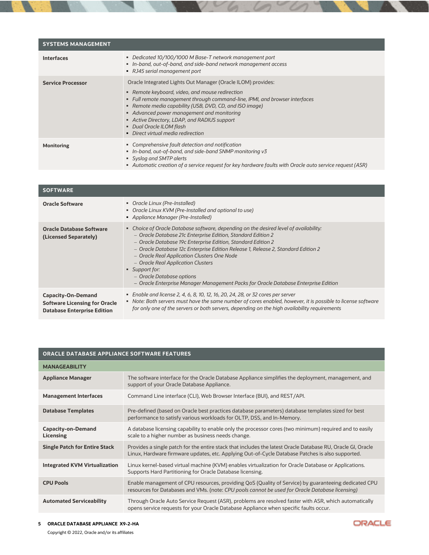| <b>SYSTEMS MANAGEMENT</b> |                                                                                                                                                                                                                                                                                                                                                                                                                           |
|---------------------------|---------------------------------------------------------------------------------------------------------------------------------------------------------------------------------------------------------------------------------------------------------------------------------------------------------------------------------------------------------------------------------------------------------------------------|
| <b>Interfaces</b>         | • Dedicated 10/100/1000 M Base-T network management port<br>In-band, out-of-band, and side-band network management access<br>• RJ45 serial management port                                                                                                                                                                                                                                                                |
| <b>Service Processor</b>  | Oracle Integrated Lights Out Manager (Oracle ILOM) provides:<br>• Remote keyboard, video, and mouse redirection<br>• Full remote management through command-line, IPMI, and browser interfaces<br>• Remote media capability (USB, DVD, CD, and ISO image)<br>• Advanced power management and monitoring<br>• Active Directory, LDAP, and RADIUS support<br>• Dual Oracle ILOM flash<br>• Direct virtual media redirection |
| <b>Monitoring</b>         | • Comprehensive fault detection and notification<br>In-band, out-of-band, and side-band SNMP monitoring v3<br>■ Syslog and SMTP alerts<br>Automatic creation of a service request for key hardware faults with Oracle auto service request (ASR)                                                                                                                                                                          |

| <b>SOFTWARE</b>                                                                                         |                                                                                                                                                                                                                                                                                                                                                                                                                                                                                                                                       |
|---------------------------------------------------------------------------------------------------------|---------------------------------------------------------------------------------------------------------------------------------------------------------------------------------------------------------------------------------------------------------------------------------------------------------------------------------------------------------------------------------------------------------------------------------------------------------------------------------------------------------------------------------------|
| <b>Oracle Software</b>                                                                                  | • Oracle Linux (Pre-Installed)<br>• Oracle Linux KVM (Pre-Installed and optional to use)<br>• Appliance Manager (Pre-Installed)                                                                                                                                                                                                                                                                                                                                                                                                       |
| <b>Oracle Database Software</b><br>(Licensed Separately)                                                | • Choice of Oracle Database software, depending on the desired level of availability:<br>- Oracle Database 21c Enterprise Edition, Standard Edition 2<br>- Oracle Database 19c Enterprise Edition, Standard Edition 2<br>- Oracle Database 12c Enterprise Edition Release 1, Release 2, Standard Edition 2<br>- Oracle Real Application Clusters One Node<br>- Oracle Real Application Clusters<br>■ Support for:<br>- Oracle Database options<br>- Oracle Enterprise Manager Management Packs for Oracle Database Enterprise Edition |
| <b>Capacity-On-Demand</b><br><b>Software Licensing for Oracle</b><br><b>Database Enterprise Edition</b> | • Enable and license 2, 4, 6, 8, 10, 12, 16, 20, 24, 28, or 32 cores per server<br>• Note: Both servers must have the same number of cores enabled, however, it is possible to license software<br>for only one of the servers or both servers, depending on the high availability requirements                                                                                                                                                                                                                                       |

| <b>ORACLE DATABASE APPLIANCE SOFTWARE FEATURES</b> |                                                                                                                                                                                                                 |  |
|----------------------------------------------------|-----------------------------------------------------------------------------------------------------------------------------------------------------------------------------------------------------------------|--|
| <b>MANAGEABILITY</b>                               |                                                                                                                                                                                                                 |  |
| <b>Appliance Manager</b>                           | The software interface for the Oracle Database Appliance simplifies the deployment, management, and<br>support of your Oracle Database Appliance.                                                               |  |
| <b>Management Interfaces</b>                       | Command Line interface (CLI), Web Browser Interface (BUI), and REST/API.                                                                                                                                        |  |
| <b>Database Templates</b>                          | Pre-defined (based on Oracle best practices database parameters) database templates sized for best<br>performance to satisfy various workloads for OLTP, DSS, and In-Memory.                                    |  |
| <b>Capacity-on-Demand</b><br>Licensing             | A database licensing capability to enable only the processor cores (two minimum) required and to easily<br>scale to a higher number as business needs change.                                                   |  |
| <b>Single Patch for Entire Stack</b>               | Provides a single patch for the entire stack that includes the latest Oracle Database RU, Oracle GI, Oracle<br>Linux, Hardware firmware updates, etc. Applying Out-of-Cycle Database Patches is also supported. |  |
| <b>Integrated KVM Virtualization</b>               | Linux kernel-based virtual machine (KVM) enables virtualization for Oracle Database or Applications.<br>Supports Hard Partitioning for Oracle Database licensing.                                               |  |
| <b>CPU Pools</b>                                   | Enable management of CPU resources, providing QoS (Quality of Service) by guaranteeing dedicated CPU<br>resources for Databases and VMs. (note: CPU pools cannot be used for Oracle Database licensing)         |  |
| <b>Automated Serviceability</b>                    | Through Oracle Auto Service Request (ASR), problems are resolved faster with ASR, which automatically<br>opens service requests for your Oracle Database Appliance when specific faults occur.                  |  |

ORACLE

#### **5 ORACLE DATABASE APPLIANCE X9-2-HA**

Copyright © 2022, Oracle and/or its affiliates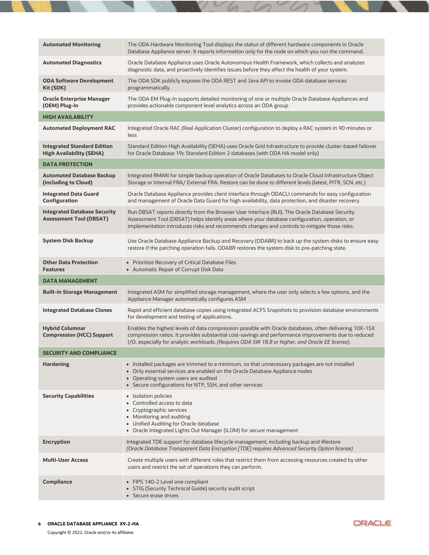| <b>Automated Monitoring</b>                                           | The ODA Hardware Monitoring Tool displays the status of different hardware components in Oracle<br>Database Appliance server. It reports information only for the node on which you run the command.                                                                                                                |
|-----------------------------------------------------------------------|---------------------------------------------------------------------------------------------------------------------------------------------------------------------------------------------------------------------------------------------------------------------------------------------------------------------|
| <b>Automated Diagnostics</b>                                          | Oracle Database Appliance uses Oracle Autonomous Health Framework, which collects and analyzes<br>diagnostic data, and proactively identifies issues before they affect the health of your system.                                                                                                                  |
| <b>ODA Software Development</b><br>Kit (SDK)                          | The ODA SDK publicly exposes the ODA REST and Java API to invoke ODA database services<br>programmatically.                                                                                                                                                                                                         |
| <b>Oracle Enterprise Manager</b><br>(OEM) Plug-In                     | The ODA EM Plug-In supports detailed monitoring of one or multiple Oracle Database Appliances and<br>provides actionable component level analytics across an ODA group                                                                                                                                              |
| <b>HIGH AVAILABILITY</b>                                              |                                                                                                                                                                                                                                                                                                                     |
| <b>Automated Deployment RAC</b>                                       | Integrated Oracle RAC (Real Application Cluster) configuration to deploy a RAC system in 90 minutes or<br>less                                                                                                                                                                                                      |
| <b>Integrated Standard Edition</b><br><b>High Availability (SEHA)</b> | Standard Edition High Availability (SEHA) uses Oracle Grid Infrastructure to provide cluster-based failover<br>for Oracle Database 19c Standard Edition 2 databases (with ODA HA model only)                                                                                                                        |
| <b>DATA PROTECTION</b>                                                |                                                                                                                                                                                                                                                                                                                     |
| <b>Automated Database Backup</b><br>(including to Cloud)              | Integrated RMAN for simple backup operation of Oracle Databases to Oracle Cloud Infrastructure Object<br>Storage or Internal FRA/ External FRA. Restore can be done to different levels (latest, PITR, SCN, etc.)                                                                                                   |
| <b>Integrated Data Guard</b><br>Configuration                         | Oracle Database Appliance provides client interface through ODACLI commands for easy configuration<br>and management of Oracle Data Guard for high availability, data protection, and disaster recovery.                                                                                                            |
| <b>Integrated Database Security</b><br><b>Assessment Tool (DBSAT)</b> | Run DBSAT reports directly from the Browser User Interface (BUI). The Oracle Database Security<br>Assessment Tool (DBSAT) helps identify areas where your database configuration, operation, or<br>implementation introduces risks and recommends changes and controls to mitigate those risks.                     |
| <b>System Disk Backup</b>                                             | Use Oracle Database Appliance Backup and Recovery (ODABR) to back up the system disks to ensure easy<br>restore if the patching operation fails. ODABR restores the system disk to pre-patching state.                                                                                                              |
|                                                                       |                                                                                                                                                                                                                                                                                                                     |
| <b>Other Data Protection</b><br><b>Features</b>                       | • Prioritize Recovery of Critical Database Files<br>• Automatic Repair of Corrupt Disk Data                                                                                                                                                                                                                         |
| <b>DATA MANAGEMENT</b>                                                |                                                                                                                                                                                                                                                                                                                     |
| <b>Built-in Storage Management</b>                                    | Integrated ASM for simplified storage management, where the user only selects a few options, and the<br>Appliance Manager automatically configures ASM                                                                                                                                                              |
| <b>Integrated Database Clones</b>                                     | Rapid and efficient database copies using integrated ACFS Snapshots to provision database environments<br>for development and testing of applications.                                                                                                                                                              |
| <b>Hybrid Columnar</b><br><b>Compression (HCC) Support</b>            | Enables the highest levels of data compression possible with Oracle databases, often delivering 10X-15X<br>compression ratios. It provides substantial cost-savings and performance improvements due to reduced<br>I/O, especially for analytic workloads. (Requires ODA SW 18.8 or higher, and Oracle EE license). |
| <b>SECURITY AND COMPLIANCE</b>                                        |                                                                                                                                                                                                                                                                                                                     |
| <b>Hardening</b>                                                      | • Installed packages are trimmed to a minimum, so that unnecessary packages are not installed<br>• Only essential services are enabled on the Oracle Database Appliance nodes<br>• Operating system users are audited<br>• Secure configurations for NTP, SSH, and other services                                   |
| <b>Security Capabilities</b>                                          | • Isolation policies<br>• Controlled access to data<br>• Cryptographic services<br>• Monitoring and auditing<br>• Unified Auditing for Oracle database<br>• Oracle Integrated Lights Out Manager (ILOM) for secure management                                                                                       |
| <b>Encryption</b>                                                     | Integrated TDE support for database lifecycle management, including backup and iRestore<br>(Oracle Database Transparent Data Encryption [TDE] requires Advanced Security Option license)                                                                                                                            |
| <b>Multi-User Access</b>                                              | Create multiple users with different roles that restrict them from accessing resources created by other<br>users and restrict the set of operations they can perform.                                                                                                                                               |

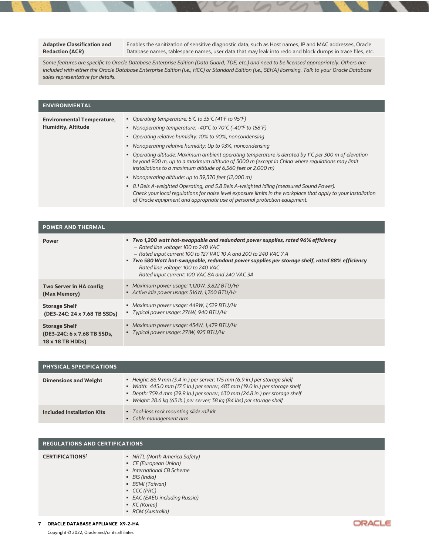#### **Adaptive Classification and Redaction (ACR)**

Enables the sanitization of sensitive diagnostic data, such as Host names, IP and MAC addresses, Oracle Database names, tablespace names, user data that may leak into redo and block dumps in trace files, etc.

*Some features are specific to Oracle Database Enterprise Edition (Data Guard, TDE, etc.) and need to be licensed appropriately. Others are included with either the Oracle Database Enterprise Edition (i.e., HCC) or Standard Edition (i.e., SEHA) licensing. Talk to your Oracle Database sales representative for details.*

| <b>ENVIRONMENTAL</b>                                           |                                                                                                                                                                                                                                                                                                                                                                                                                                                                                                                                                                                                                                                                                                                                                                                                                                                                       |
|----------------------------------------------------------------|-----------------------------------------------------------------------------------------------------------------------------------------------------------------------------------------------------------------------------------------------------------------------------------------------------------------------------------------------------------------------------------------------------------------------------------------------------------------------------------------------------------------------------------------------------------------------------------------------------------------------------------------------------------------------------------------------------------------------------------------------------------------------------------------------------------------------------------------------------------------------|
| <b>Environmental Temperature,</b><br><b>Humidity, Altitude</b> | • Operating temperature: 5°C to 35°C (41°F to 95°F)<br>Nonoperating temperature: -40°C to 70°C (-40°F to 158°F)<br>• Operating relative humidity: 10% to 90%, noncondensing<br>• Nonoperating relative humidity: Up to 93%, noncondensing<br>• Operating altitude: Maximum ambient operating temperature is derated by 1°C per 300 m of elevation<br>beyond 900 m, up to a maximum altitude of 3000 m (except in China where regulations may limit<br>installations to a maximum altitude of 6,560 feet or 2,000 m)<br>• Nonoperating altitude: up to 39,370 feet (12,000 m)<br>• 8.1 Bels A-weighted Operating, and 5.8 Bels A-weighted Idling (measured Sound Power).<br>Check your local regulations for noise level exposure limits in the workplace that apply to your installation<br>of Oracle equipment and appropriate use of personal protection equipment. |

| <b>POWER AND THERMAL</b>                                                |                                                                                                                                                                                                                                                                                                                                                                                             |
|-------------------------------------------------------------------------|---------------------------------------------------------------------------------------------------------------------------------------------------------------------------------------------------------------------------------------------------------------------------------------------------------------------------------------------------------------------------------------------|
| <b>Power</b>                                                            | • Two 1,200 watt hot-swappable and redundant power supplies, rated 96% efficiency<br>- Rated line voltage: 100 to 240 VAC<br>- Rated input current 100 to 127 VAC 10 A and 200 to 240 VAC 7 A<br>• Two 580 Watt hot-swappable, redundant power supplies per storage shelf, rated 88% efficiency<br>- Rated line voltage: 100 to 240 VAC<br>- Rated input current: 100 VAC 8A and 240 VAC 3A |
| Two Server in HA config<br>(Max Memory)                                 | • Maximum power usage: 1,120W, 3,822 BTU/Hr<br>Active Idle power usage: 516W, 1,760 BTU/Hr                                                                                                                                                                                                                                                                                                  |
| <b>Storage Shelf</b><br>(DE3-24C: 24 x 7.68 TB SSDs)                    | • Maximum power usage: 449W, 1,529 BTU/Hr<br>" Typical power usage: 276W, 940 BTU/Hr                                                                                                                                                                                                                                                                                                        |
| <b>Storage Shelf</b><br>(DE3-24C: 6 x 7.68 TB SSDs,<br>18 x 18 TB HDDs) | • Maximum power usage: 434W, 1,479 BTU/Hr<br>■ Typical power usage: 271W, 925 BTU/Hr                                                                                                                                                                                                                                                                                                        |

| <b>PHYSICAL SPECIFICATIONS</b>    |                                                                                                                                                                                                                                                                                                                     |
|-----------------------------------|---------------------------------------------------------------------------------------------------------------------------------------------------------------------------------------------------------------------------------------------------------------------------------------------------------------------|
| <b>Dimensions and Weight</b>      | Height: 86.9 mm (3.4 in.) per server: 175 mm (6.9 in.) per storage shelf<br>· Width: 445.0 mm (17.5 in.) per server; 483 mm (19.0 in.) per storage shelf<br>• Depth: 759.4 mm (29.9 in.) per server; 630 mm (24.8 in.) per storage shelf<br>" Weight: 28.6 kg (63 lb.) per server; 38 kg (84 lbs) per storage shelf |
| <b>Included Installation Kits</b> | • Tool-less rack mounting slide rail kit<br>• Cable management arm                                                                                                                                                                                                                                                  |

### **REGULATIONS AND CERTIFICATIONS**

| <b>CERTIFICATIONS<sup>1</sup></b> | • NRTL (North America Safety)<br>• CE (European Union)<br>• International CB Scheme<br>• BIS (India)<br>■ BSMI (Taiwan)<br>CCC (PRC)<br>• EAC (EAEU including Russia)<br>KC(Korea)<br>• RCM (Australia) |
|-----------------------------------|---------------------------------------------------------------------------------------------------------------------------------------------------------------------------------------------------------|
|-----------------------------------|---------------------------------------------------------------------------------------------------------------------------------------------------------------------------------------------------------|

#### **7 ORACLE DATABASE APPLIANCE X9-2-HA**

Copyright © 2022, Oracle and/or its affiliates